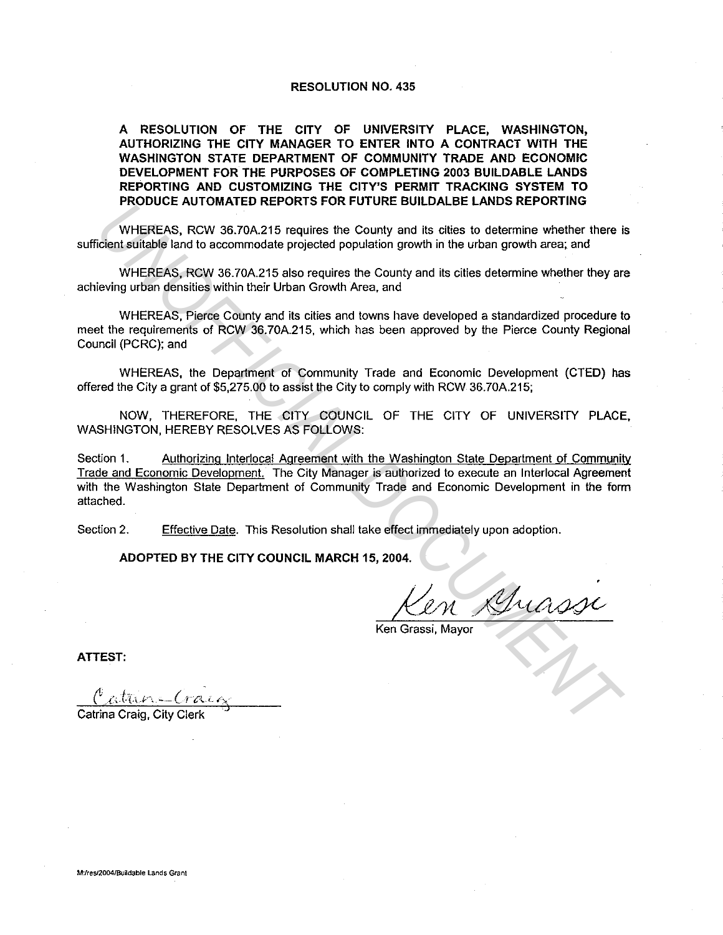#### RESOLUTION NO. 435

A RESOLUTION OF THE CITY OF UNIVERSITY PLACE, WASHINGTON, AUTHORIZING THE CITY MANAGER TO ENTER INTO A CONTRACT WITH THE WASHINGTON STATE DEPARTMENT OF COMMUNITY TRADE AND ECONOMIC DEVELOPMENT FOR THE PURPOSES OF COMPLETING 2003 BUILDABLE LANDS REPORTING AND CUSTOMIZING THE CITY'S PERMIT TRACKING SYSTEM TO PRODUCE AUTOMATED REPORTS FOR FUTURE BUILDALBE LANDS REPORTING

WHEREAS, RCW 36.70A.215 requires the County and its cities to determine whether there is sufficient suitable land to accommodate projected population growth in the urban growth area; and

WHEREAS, RCW 36.70A.215 also requires the County and its cities determine whether they are achieving urban densities within their Urban Growth Area, and

WHEREAS, Pierce County and its cities and towns have developed a standardized procedure to meet the requirements of RCW 36.70A.215, which has been approved by the Pierce County Regional Council (PCRC); and

WHEREAS, the Department of Community Trade and Economic Development (CTED) has offered the City a grant of \$5,275.00 to assist the City to comply with RCW 36.70A.215;

NOW, THEREFORE, THE CITY COUNCIL OF THE CITY OF UNIVERSITY PLACE, WASHINGTON, HEREBY RESOLVES AS FOLLOWS:

Section 1. Authorizing lnterlocal Agreement with the Washington State Department of Community Trade and Economic Development. The City Manager is authorized to execute an lnterlocal Agreement with the Washington State Department of Community Trade and Economic Development in the form attached. **PRODUCE AUTOMATED REPORTS POR PROTOKOLOGING E LANDS REPORTING**<br>
INHEREAS, RCW 36.70A.215 requires the County and its dists to determine whether there it<br>
identified and to accommodate projected population growth in the ur

Section 2. Effective Date. This Resolution shall take effect immediately upon adoption.

ADOPTED BY THE CITY COUNCIL MARCH 15, 2004.

 $M$ uasse

Ken Grassi, Mayor

ATTEST:

Catrina Craig, City Clerk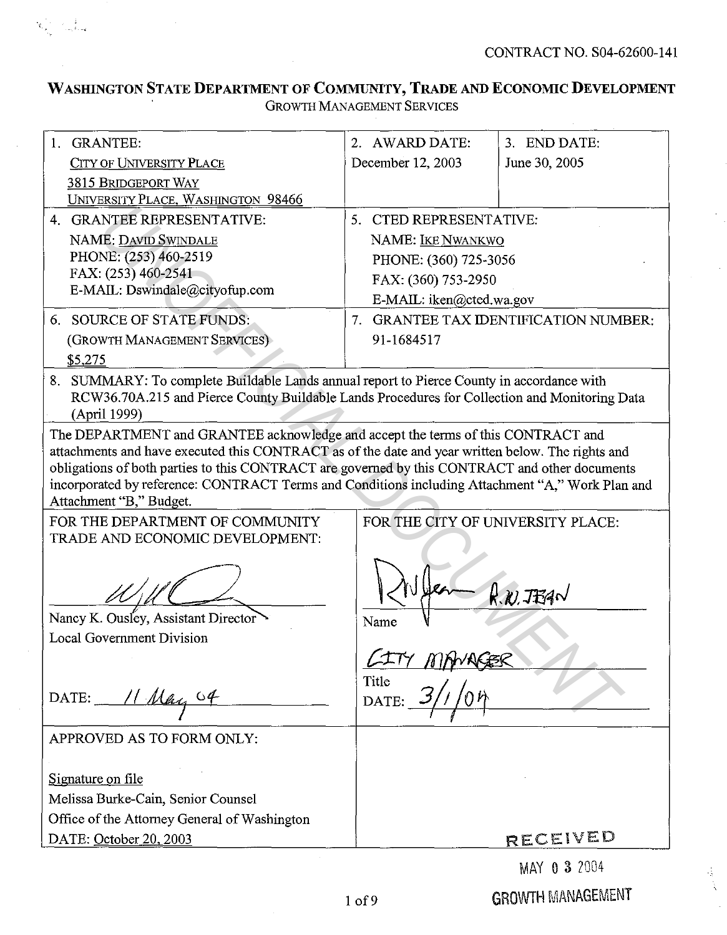CONTRACT NO. S04-62600-141

# **WASffiNGTON STATE DEPARTMENT OF COMMUNITY, TRADE AND ECONOMIC DEVELOPMENT GROWTH MANAGEMENT SERVICES**

 $\mathbf{x}_{\text{max}} = \sum_{\text{max} \in \mathcal{M}}$ 

| 1. GRANTEE:                                                                                                                                                                                                                                                                                                                                                                                                            | 2. AWARD DATE:                    | 3. END DATE:                          |
|------------------------------------------------------------------------------------------------------------------------------------------------------------------------------------------------------------------------------------------------------------------------------------------------------------------------------------------------------------------------------------------------------------------------|-----------------------------------|---------------------------------------|
| <b>CITY OF UNIVERSITY PLACE</b>                                                                                                                                                                                                                                                                                                                                                                                        | December 12, 2003                 | June 30, 2005                         |
| <b>3815 BRIDGEPORT WAY</b>                                                                                                                                                                                                                                                                                                                                                                                             |                                   |                                       |
| UNIVERSITY PLACE, WASHINGTON 98466                                                                                                                                                                                                                                                                                                                                                                                     |                                   |                                       |
| 4. GRANTEE REPRESENTATIVE:                                                                                                                                                                                                                                                                                                                                                                                             | 5. CTED REPRESENTATIVE:           |                                       |
| NAME: DAVID SWINDALE                                                                                                                                                                                                                                                                                                                                                                                                   | <b>NAME: IKE NWANKWO</b>          |                                       |
| PHONE: (253) 460-2519                                                                                                                                                                                                                                                                                                                                                                                                  | PHONE: (360) 725-3056             |                                       |
| FAX: (253) 460-2541                                                                                                                                                                                                                                                                                                                                                                                                    | FAX. (360) 753-2950               |                                       |
| E-MAIL: Dswindale@cityofup.com                                                                                                                                                                                                                                                                                                                                                                                         | E-MAIL: iken@cted.wa.gov          |                                       |
| 6. SOURCE OF STATE FUNDS:                                                                                                                                                                                                                                                                                                                                                                                              |                                   | 7. GRANTEE TAX IDENTIFICATION NUMBER: |
| (GROWTH MANAGEMENT SERVICES)                                                                                                                                                                                                                                                                                                                                                                                           | 91-1684517                        |                                       |
| \$5,275                                                                                                                                                                                                                                                                                                                                                                                                                |                                   |                                       |
| 8. SUMMARY: To complete Buildable Lands annual report to Pierce County in accordance with<br>RCW36.70A.215 and Pierce County Buildable Lands Procedures for Collection and Monitoring Data<br>(April 1999)                                                                                                                                                                                                             |                                   |                                       |
| The DEPARTMENT and GRANTEE acknowledge and accept the terms of this CONTRACT and<br>attachments and have executed this CONTRACT as of the date and year written below. The rights and<br>obligations of both parties to this CONTRACT are governed by this CONTRACT and other documents<br>incorporated by reference: CONTRACT Terms and Conditions including Attachment "A," Work Plan and<br>Attachment "B," Budget. |                                   |                                       |
| FOR THE DEPARTMENT OF COMMUNITY                                                                                                                                                                                                                                                                                                                                                                                        | FOR THE CITY OF UNIVERSITY PLACE: |                                       |
| TRADE AND ECONOMIC DEVELOPMENT:                                                                                                                                                                                                                                                                                                                                                                                        |                                   |                                       |
| Nancy K. Ousley, Assistant Director                                                                                                                                                                                                                                                                                                                                                                                    | Name                              | $R$ $n$ $TBA$                         |
| <b>Local Government Division</b>                                                                                                                                                                                                                                                                                                                                                                                       |                                   |                                       |
|                                                                                                                                                                                                                                                                                                                                                                                                                        |                                   |                                       |
|                                                                                                                                                                                                                                                                                                                                                                                                                        | Title                             |                                       |
| DATE: $11$ May $64$                                                                                                                                                                                                                                                                                                                                                                                                    | DATE:                             |                                       |
| APPROVED AS TO FORM ONLY:                                                                                                                                                                                                                                                                                                                                                                                              |                                   |                                       |
| Signature on file                                                                                                                                                                                                                                                                                                                                                                                                      |                                   |                                       |
| Melissa Burke-Cain, Senior Counsel                                                                                                                                                                                                                                                                                                                                                                                     |                                   |                                       |
| Office of the Attorney General of Washington                                                                                                                                                                                                                                                                                                                                                                           |                                   |                                       |
| DATE: October 20, 2003                                                                                                                                                                                                                                                                                                                                                                                                 |                                   | RECEIVED                              |
|                                                                                                                                                                                                                                                                                                                                                                                                                        |                                   | MAY A 3 2004                          |

MAY 0 3 2004

 $\mathcal{A}_\mathrm{A}$ Ã

GROWTH MANAGEMENT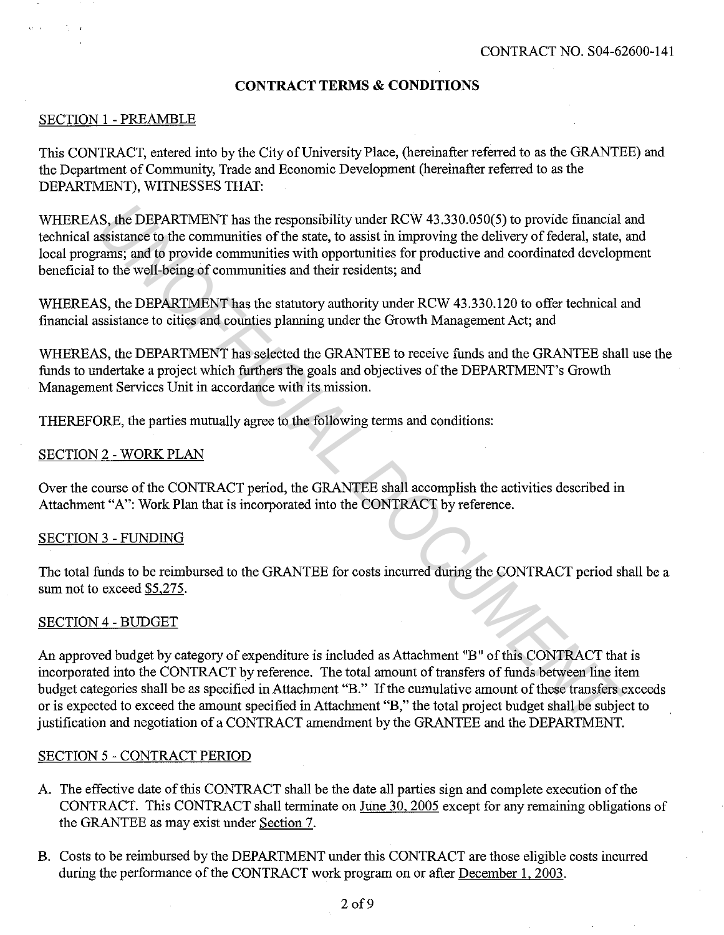## **CONTRACT TERMS & CONDITIONS**

#### SECTION 1 - PREAMBLE

 $\beta_{\rm 2}$  .

This CONTRACT, entered into by the City of University Place, (hereinafter referred to as the GRANTEE) and the Department of Community, Trade and Economic Development (hereinafter referred to as the DEPARTMENT), WITNESSES THAT:

WHEREAS, the DEPARTMENT has the responsibility under RCW 43.330.050(5) to provide financial and technical assistance to the communities of the state, to assist in improving the delivery of federal, state, and local programs; and to provide communities with opportunities for productive and coordinated development beneficial to the well-being of communities and their residents; and

WHEREAS, the DEPARTMENT has the statutory authority under RCW 43.330.120 to offer technical and financial assistance to cities and counties planning under the Growth Management Act; and

WHEREAS, the DEPARTMENT has selected the GRANTEE to receive funds and the GRANTEE shall use the funds to undertake a project which furthers the goals and objectives of the DEPARTMENT's Growth Management Services Unit in accordance with its mission.

THEREFORE, the parties mutually agree to the following terms and conditions:

#### SECTION 2 - WORK PLAN

Over the course of the CONTRACT period, the GRANTEE shall accomplish the activities described in Attachment "A": Work Plan that is incorporated into the CONTRACT by reference.

#### SECTION 3 - FUNDING

The total funds to be reimbursed to the GRANTEE for costs incurred during the CONTRACT period shall be a sum not to exceed \$5,275.

#### SECTION 4 - BUDGET

An approved budget by category of expenditure is included as Attachment "B" of this CONTRACT that is incorporated into the CONTRACT by reference. The total amount of transfers of funds between line item budget categories shall be as specified in Attachment "B." If the cumulative amount of these transfers exceeds or is expected to exceed the amount specified in Attachment "B," the total project budget shall be subject to justification and negotiation of a CONTRACT amendment by the GRANTEE and the DEPARTMENT. *IS*, the DEPARTMENT has the responsibility under RCW 43,330.050(5) to provide financial<br>assistance to the communities of the state, to assist in improving the delivery of federal, state,<br>rarms; and to provide communities

#### SECTION 5 - CONTRACT PERIOD

- A. The effective date of this CONTRACT shall be the date all parties sign and complete execution of the CONTRACT. This CONTRACT shall terminate on June 30, 2005 except for any remaining obligations of the GRANTEE as may exist under Section 7.
- B. Costs to be reimbursed by the DEPARTMENT under this CONTRACT are those eligible costs incurred during the performance of the CONTRACT work program on or after December l, 2003.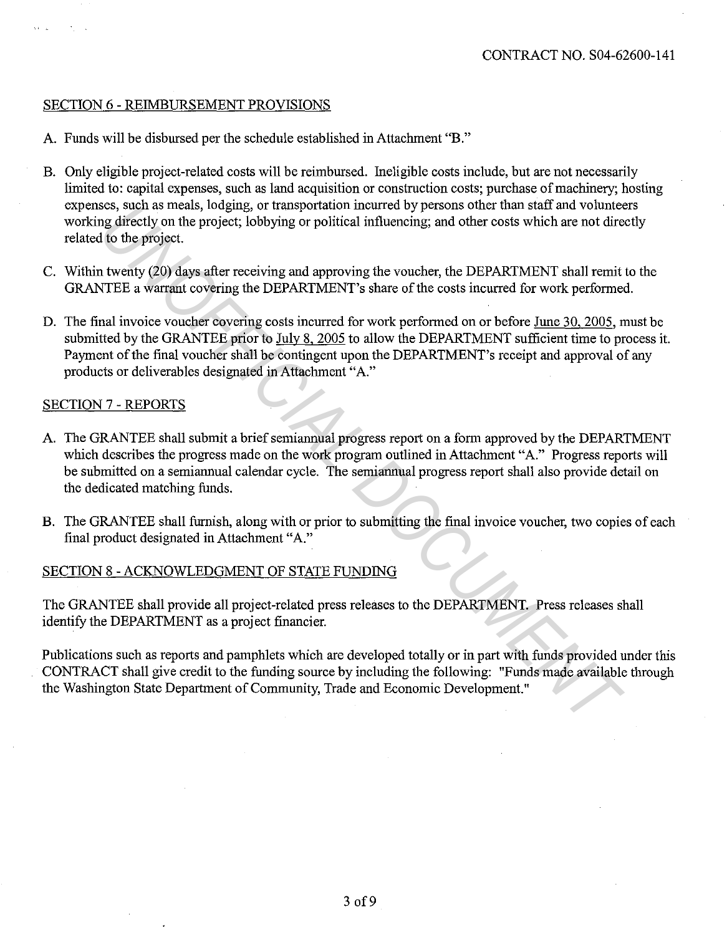#### SECTION 6 - REIMBURSEMENT PROVISIONS

- A. Funds will be disbursed per the schedule established in Attachment "B."
- B. Only eligible project-related costs will be reimbursed. Ineligible costs include, but are not necessarily limited to: capital expenses, such as land acquisition or construction costs; purchase of machinery; hosting expenses, such as meals, lodging, or transportation incurred by persons other than staff and volunteers working directly on the project; lobbying or political influencing; and other costs which are not directly related to the project.
- C. Within twenty (20) days after receiving and approving the voucher, the DEPARTMENT shall remit to the GRANTEE a warrant covering the DEPARTMENT's share of the costs incurred for work performed.
- D. The final invoice voucher covering costs incurred for work performed on or before June 30, 2005, must be submitted by the GRANTEE prior to July 8, 2005 to allow the DEPARTMENT sufficient time to process it. Payment of the final voucher shall be contingent upon the DEPARTMENT's receipt and approval of any products or deliverables designated in Attachment "A." ses, such as meals, looging, or transportation incurted oy persons oncer than start and volunted<br>ing directly on the project; lobbying or political influencing; and other costs which are not directly to the project.<br>To th

#### SECTION 7 - REPORTS

- A. The GRANTEE shall submit a brief semiannual progress report on a form approved by the DEPARTMENT which describes the progress made on the work program outlined in Attachment "A." Progress reports will be submitted on a semiannual calendar cycle. The semiannual progress report shall also provide detail on the dedicated matching funds.
- B. The GRANTEE shall furnish, along with or prior to submitting the final invoice voucher, two copies of each final product designated in Attachment "A."

## SECTION 8 - ACKNOWLEDGMENT OF STATE FUNDING

The GRANTEE shall provide all project-related press releases to the DEPARTMENT. Press releases shall identify the DEPARTMENT as a project financier.

Publications such as reports and pamphlets which are developed totally or in part with funds provided under this CONTRACT shall give credit to the funding source by including the following: "Funds made available through the Washington State Department of Community, Trade and Economic Development."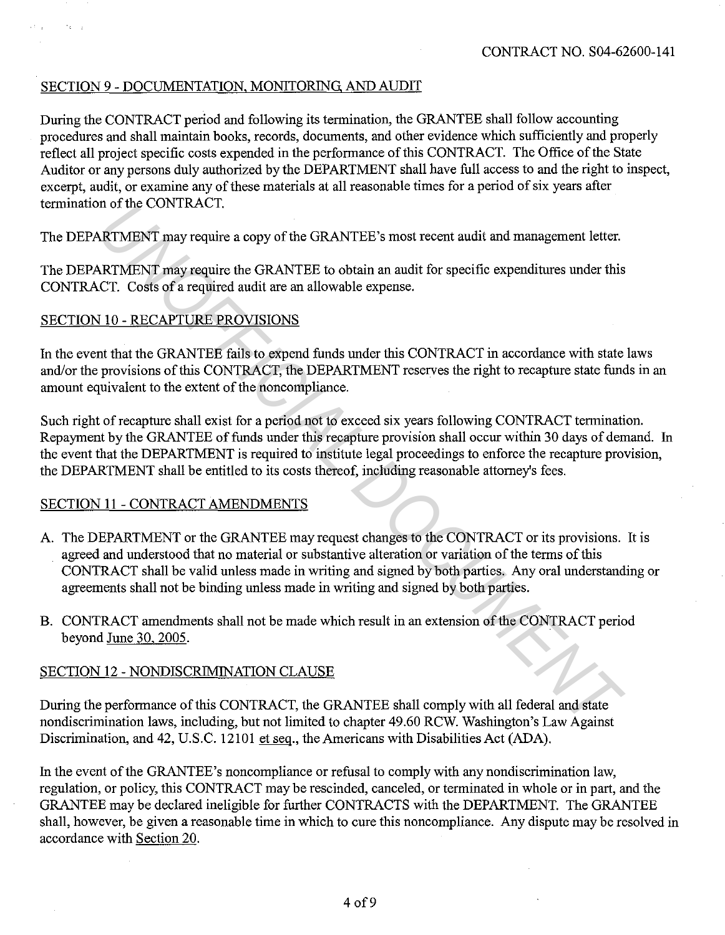## SECTION 9 - DOCUMENTATION, MONITORING, AND AUDIT

During the CONTRACT period and following its termination, the GRANTEE shall follow accounting procedures and shall maintain books, records, documents, and other evidence which sufficiently and properly reflect all project specific costs expended in the performance of this CONTRACT. The Office of the State Auditor or any persons duly authorized by the DEPARTMENT shall have full access to and the right to inspect, excerpt, audit, or examine any of these materials at all reasonable times for a period of six years after termination of the CONTRACT.

The DEPARTMENT may require a copy of the GRANTEE's most recent audit and management letter.

The DEPARTMENT may require the GRANTEE to obtain an audit for specific expenditures under this CONTRACT. Costs of a required audit are an allowable expense.

## SECTION 10 - RECAPTURE PROVISIONS

 $\mathcal{F}_{\mathcal{F}}$ 

In the event that the GRANTEE fails to expend funds under this CONTRACT in accordance with state laws and/or the provisions of this CONTRACT, the DEPARTMENT reserves the right to recapture state funds in an amount equivalent to the extent of the noncompliance.

Such right of recapture shall exist for a period not to exceed six years following CONTRACT termination. Repayment by the GRANTEE of funds under this recapture provision shall occur within 30 days of demand. In the event that the DEPARTMENT is required to institute legal proceedings to enforce the recapture provision, the DEPARTMENT shall be entitled to its costs thereof, including reasonable attorney's fees.

## SECTION 11 - CONTRACT AMENDMENTS

- A. The DEPARTMENT or the GRANTEE may request changes to the CONTRACT or its provisions. It is agreed and understood that no material or substantive alteration or variation of the terms of this CONTRACT shall be valid unless made in writing and signed by both parties. Any oral understanding or agreements shall not be binding unless made in writing and signed by both parties. *MRTMENT* may require a copy of the GRANTEE's most recent audit and management letter.<br>*NRTMENT* may require the GRANTEE to obtain an audit for specific expenditures under this<br>CCT. Costs of a required audit are an allowab
- B. CONTRACT amendments shall not be made which result in an extension of the CONTRACT period beyond June 30, 2005.

## SECTION 12 - NONDISCRIMINATION CLAUSE

During the performance of this CONTRACT, the GRANTEE shall comply with all federal and state nondiscrimination laws, including, but not limited to chapter 49.60 RCW. Washington's Law Against Discrimination, and 42, U.S.C. 12101 et seq., the Americans with Disabilities Act (ADA).

In the event of the GRANTEE's noncompliance or refusal to comply with any nondiscrimination law, regulation, or policy, this CONTRACT may be rescinded, canceled, or terminated in whole or in part, and the GRANTEE may be declared ineligible for further CONTRACTS with the DEPARTMENT. The GRANTEE shall, however, be given a reasonable time in which to cure this noncompliance. Any dispute may be resolved in accordance with Section 20.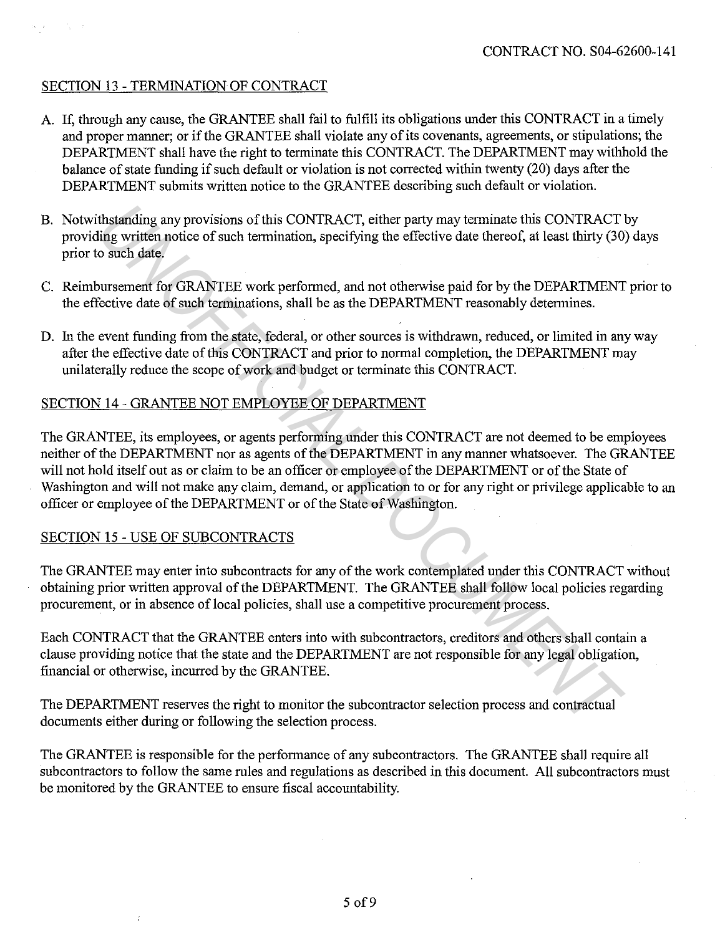## SECTION 13 - TERMINATION OF CONTRACT

- A. If, through any cause, the GRANTEE shall fail to fulfill its obligations under this CONTRACT in a timely and proper manner; or if the GRANTEE shall violate any of its covenants, agreements, or stipulations; the DEPARTMENT shall have the right to terminate this CONTRACT. The DEPARTMENT may withhold the balance of state funding if such default or violation is not corrected within twenty (20) days after the DEPARTMENT submits written notice to the GRANTEE describing such default or violation.
- B. Notwithstanding any provisions of this CONTRACT, either party may terminate this CONTRACT by providing written notice of such termination, specifying the effective date thereof, at least thirty (30) days prior to such date.
- C. Reimbursement for GRANTEE work performed, and not otherwise paid for by the DEPARTMENT prior to the effective date of such terminations, shall be as the DEPARTMENT reasonably determines.
- D. In the event funding from the state, federal, or other sources is withdrawn, reduced, or limited in any way after the effective date of this CONTRACT and prior to normal completion, the DEPARTMENT may unilaterally reduce the scope of work and budget or terminate this CONTRACT.

## SECTION 14 - GRANTEE NOT EMPLOYEE OF DEPARTMENT

The GRANTEE, its employees, or agents performing under this CONTRACT are not deemed to be employees neither of the DEPARTMENT nor as agents of the DEPARTMENT in any manner whatsoever. The GRANTEE will not hold itself out as or claim to be an officer or employee of the DEPARTMENT or of the State of Washington and will not make any claim, demand, or application to or for any right or privilege applicable to an officer or employee of the DEPARTMENT or of the State of Washington. thstanding any provisions of this CONTRACT, either party may terminate this CONTRACT<br>ing written notice of such termination, specifying the effective date thereof, at least thirty (30)<br>such date,<br>our sement for GRANTEE wor

## SECTION 15 - USE OF SUBCONTRACTS

The GRANTEE may enter into subcontracts for any of the work contemplated under this CONTRACT without obtaining prior written approval of the DEPARTMENT. The GRANTEE shall follow local policies regarding procurement, or in absence of local policies, shall use a competitive procurement process.

Each CONTRACT that the GRANTEE enters into with subcontractors, creditors and others shall contain a clause providing notice that the state and the DEPARTMENT are not responsible for any legal obligation, financial or otherwise, incurred by the GRANTEE.

The DEPARTMENT reserves the right to monitor the subcontractor selection process and contractual documents either during or following the selection process.

The GRANTEE is responsible for the performance of any subcontractors. The GRANTEE shall require all subcontractors to follow the same rules and regulations as described in this document. All subcontractors must be monitored by the GRANTEE to ensure fiscal accountability.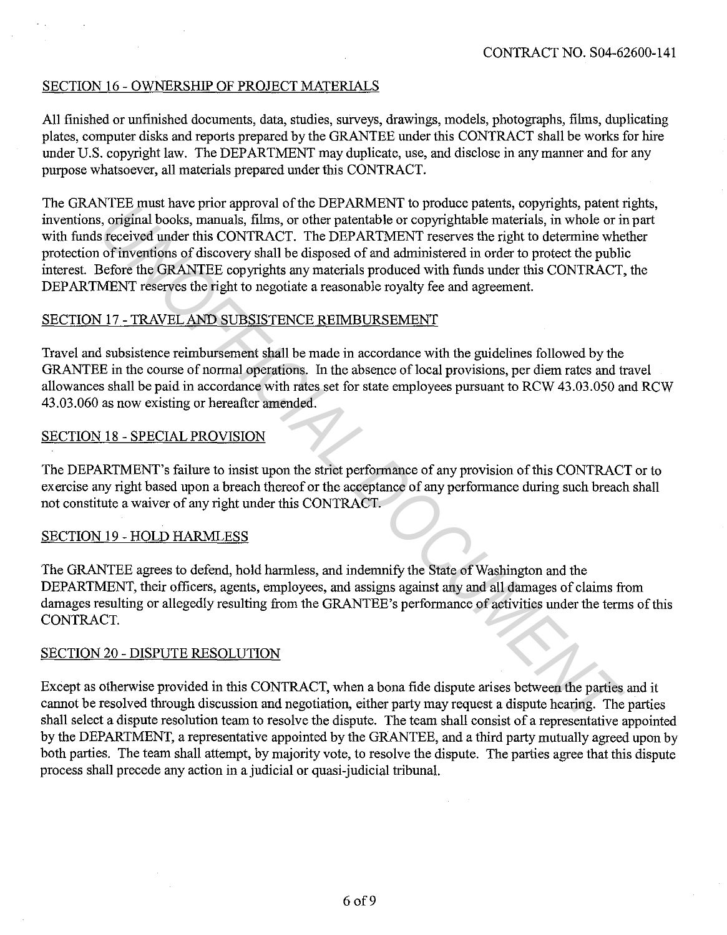## SECTION 16 - OWNERSHIP OF PROJECT MATERIALS

All finished or unfinished documents, data, studies, surveys, drawings, models, photographs, fihns, duplicating plates, computer disks and reports prepared by the GRANTEE under this CONTRACT shall be works for hire under U.S. copyright law. The DEPARTMENT may duplicate, use, and disclose in any manner and for any purpose whatsoever, all materials prepared under this CONTRACT.

The GRANTEE must have prior approval of the DEPARMENT to produce patents, copyrights, patent rights, inventions, original books, manuals, fihns, or other patentable or copyrightable materials, in whole or in part with funds received under this CONTRACT. The DEPARTMENT reserves the right to determine whether protection of inventions of discovery shall be disposed of and administered in order to protect the public interest. Before the GRANTEE copyrights any materials produced with funds under this CONTRACT, the DEPARTMENT reserves the right to negotiate a reasonable royalty fee and agreement. **EVALUATE:** CONTRACT. The DEFACTMENT is open to the particular that is compute pearms, copyrigns, pearm of the original books, manuals, films, or other patentable or copyrightable materials, in whole or in technique this C

## SECTION 17 - TRAVEL AND SUBSISTENCE REIMBURSEMENT

Travel and subsistence reimbursement shall be made in accordance with the guidelines followed by the GRANTEE in the course of normal operations. In the absence of local provisions, per diem rates and travel allowances shall be paid in accordance with rates set for state employees pursuant to RCW 43.03.050 and RCW 43.03.060 as now existing or hereafter amended.

## SECTION 18 - SPECIAL PROVISION

The DEPARTMENT's failure to insist upon the strict performance of any provision of this CONTRACT or to exercise any right based upon a breach thereof or the acceptance of any performance during such breach shall not constitute a waiver of any right under this CONTRACT.

## SECTION 19 - HOLD HARMLESS

The GRANTEE agrees to defend, hold harmless, and indemnify the State of Washington and the DEPARTMENT, their officers, agents, employees, and assigns against any and all damages of claims from damages resulting or allegedly resulting from the GRANTEE 's performance of activities under the terms of this CONTRACT.

## SECTION 20 - DISPUTE RESOLUTION

Except as otherwise provided in this CONTRACT, when a bona fide dispute arises between the parties and it cannot be resolved through discussion and negotiation, either party may request a dispute hearing. The parties shall select a dispute resolution team to resolve the dispute. The team shall consist of a representative appointed by the DEPARTMENT, a representative appointed by the GRANTEE, and a third party mutually agreed upon by both parties. The team shall attempt, by majority vote, to resolve the dispute. The parties agree that this dispute process shall precede any action in a judicial or quasi-judicial tribunal.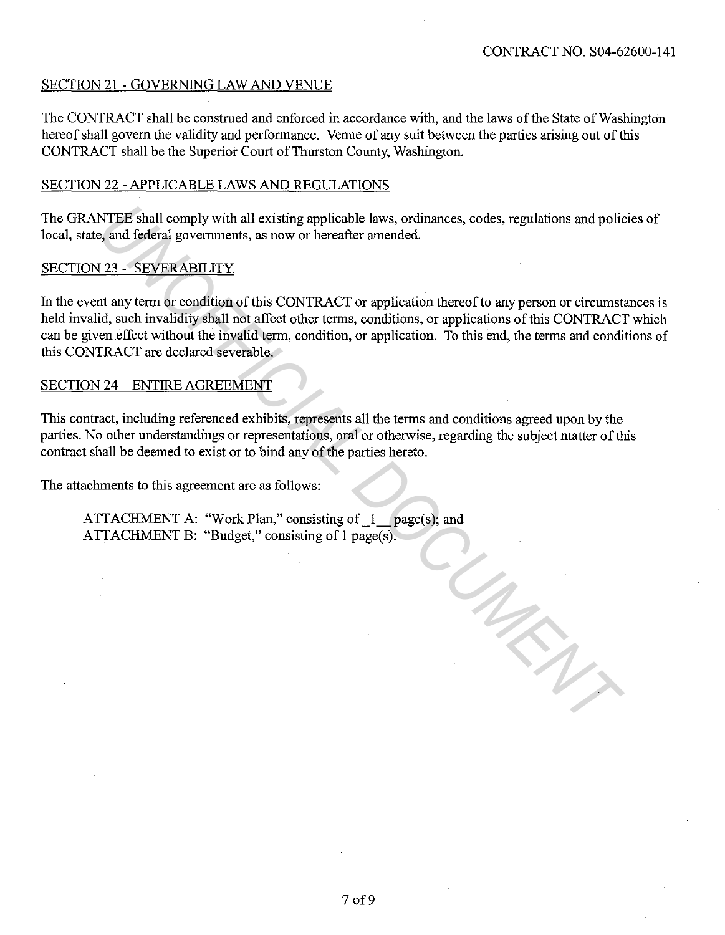## SECTION 21 - GOVERNING LAW AND VENUE

The CONTRACT shall be construed and enforced in accordance with, and the laws of the State of Washington hereof shall govern the validity and performance. Venue of any suit between the parties arising out of this CONTRACT shall be the Superior Court of Thurston County, Washington.

## SECTION 22 -APPLICABLE LAWS AND REGULATIONS

The GRANTEE shall comply with all existing applicable laws, ordinances, codes, regulations and policies of local, state, and federal governments, as now or hereafter amended.

## SECTION 23 - SEVERABILITY

In the event any term or condition of this CONTRACT or application thereof to any person or circumstances is held invalid, such invalidity shall not affect other terms, conditions, or applications of this CONTRACT which can be given effect without the invalid term, condition, or application. To this end, the terms and conditions of this CONTRACT are declared severable. **EXAMPLE Shall comply with all existing applicable laws, ordinances, codes, regulations and policion and federal governments, as now or hereafter amended.**<br>
23 - SEVERABILITY<br>
In any term or condition of this CONTRACT or a

## SECTION 24 - ENTIRE AGREEMENT

This contract, including referenced exhibits, represents all the terms and conditions agreed upon by the parties. No other understandings or representations, oral or otherwise, regarding the subject matter of this contract shall be deemed to exist or to bind any of the parties hereto.

The attachments to this agreement are as follows:

ATTACHMENT A: "Work Plan," consisting of 1 page(s); and ATTACHMENT B: "Budget," consisting of 1 page(s).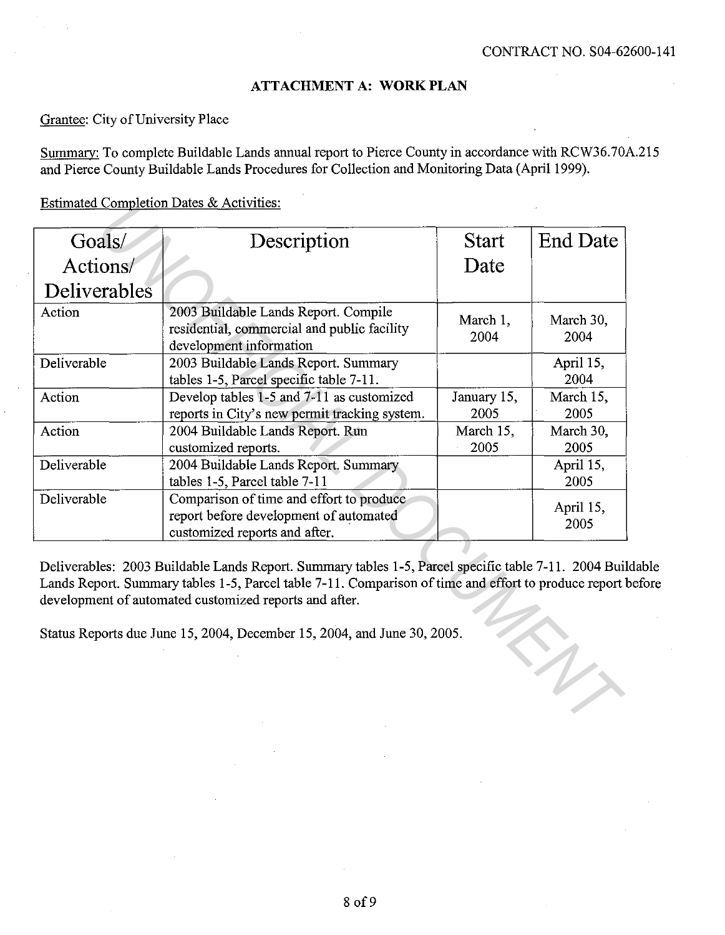#### **ATTACHMENT A: WORK PLAN**

Grantee: City of University Place

Summary: To complete Buildable Lands annual report to Pierce County in accordance with RCW36.70A.215 and Pierce County Buildable Lands Procedures for Collection and Monitoring Data (April 1999).

Estimated Completion Dates & Activities:

| $Estimateu$ Completion Dates $\alpha$ Activities. |                                                                                                                                                                                                                                                                       |                     |                   |
|---------------------------------------------------|-----------------------------------------------------------------------------------------------------------------------------------------------------------------------------------------------------------------------------------------------------------------------|---------------------|-------------------|
| Goals/                                            | Description                                                                                                                                                                                                                                                           | <b>Start</b>        | <b>End Date</b>   |
| Actions/                                          |                                                                                                                                                                                                                                                                       | Date                |                   |
| Deliverables                                      |                                                                                                                                                                                                                                                                       |                     |                   |
| Action                                            | 2003 Buildable Lands Report. Compile<br>residential, commercial and public facility<br>development information                                                                                                                                                        | March 1,<br>2004    | March 30,<br>2004 |
| Deliverable                                       | 2003 Buildable Lands Report. Summary<br>tables 1-5, Parcel specific table 7-11.                                                                                                                                                                                       |                     | April 15,<br>2004 |
| Action                                            | Develop tables 1-5 and 7-11 as customized<br>reports in City's new permit tracking system.                                                                                                                                                                            | January 15,<br>2005 | March 15,<br>2005 |
| Action                                            | 2004 Buildable Lands Report. Run<br>customized reports.                                                                                                                                                                                                               | March 15,<br>2005   | March 30,<br>2005 |
| Deliverable                                       | 2004 Buildable Lands Report. Summary<br>tables 1-5, Parcel table 7-11                                                                                                                                                                                                 |                     | April 15,<br>2005 |
| Deliverable                                       | Comparison of time and effort to produce<br>report before development of automated<br>customized reports and after.                                                                                                                                                   |                     | April 15,<br>2005 |
|                                                   | Deliverables: 2003 Buildable Lands Report. Summary tables 1-5, Parcel specific table 7-11. 2004 Bui<br>Lands Report. Summary tables 1-5, Parcel table 7-11. Comparison of time and effort to produce report<br>development of automated customized reports and after. |                     |                   |
|                                                   | Status Reports due June 15, 2004, December 15, 2004, and June 30, 2005.                                                                                                                                                                                               |                     |                   |
|                                                   |                                                                                                                                                                                                                                                                       |                     |                   |

Deliverables: 2003 Buildable Lands Report. Summary tables 1-5, Parcel specific table 7-11. 2004 Buildable Lands Report. Summary tables 1-5, Parcel table 7-11. Comparison of time and effort to produce report before development of automated customized reports and after.